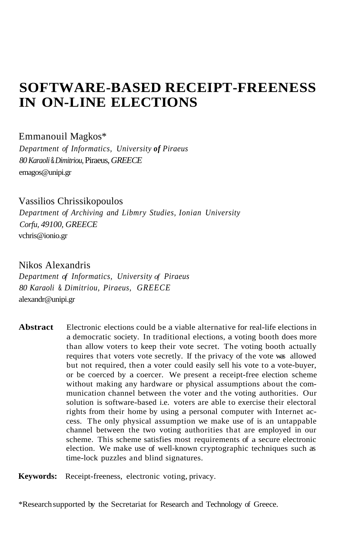# **SOFTWARE-BASED RECEIPT-FREENESS IN ON-LINE ELECTIONS**

#### Emmanouil Magkos\*

*Department of Informatics, University of Piraeus 80 Karaoli* & *Dimitriou,* Piraeus, *GREECE* emagos@unipi.gr

#### Vassilios Chrissikopoulos

*Department of Archiving and Libmry Studies, Ionian University Corfu, 49100, GREECE* vchris@ionio.gr

#### Nikos Alexandris

*Department of Informatics, University of Piraeus 80 Karaoli* & *Dimitriou, Piraeus, GREECE*  alexandr@unipi.gr

**Abstract** Electronic elections could be a viable alternative for real-life elections in a democratic society. In traditional elections, a voting booth does more than allow voters to keep their vote secret. The voting booth actually requires that voters vote secretly. If the privacy of the vote was allowed but not required, then a voter could easily sell his vote to a vote-buyer, or be coerced by a coercer. We present a receipt-free election scheme without making any hardware or physical assumptions about the communication channel between the voter and the voting authorities. Our solution is software-based i.e. voters are able to exercise their electoral rights from their home by using a personal computer with Internet access. The only physical assumption we make use of is an untappable channel between the two voting authorities that are employed in our scheme. This scheme satisfies most requirements of a secure electronic election. We make use of well-known cryptographic techniques such as time-lock puzzles and blind signatures.

**Keywords:** Receipt-freeness, electronic voting, privacy.

\*Research supported by the Secretariat for Research and Technology of Greece.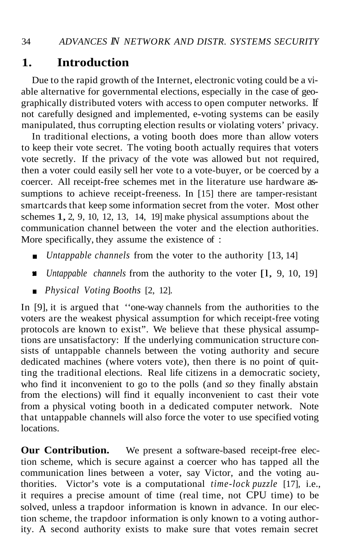34 *ADVANCES IN NETWORK AND DISTR. SYSTEMS SECURITY* 

## **1. Introduction**

Due to the rapid growth of the Internet, electronic voting could be a viable alternative for governmental elections, especially in the case of geographically distributed voters with access to open computer networks. If not carefully designed and implemented, e-voting systems can be easily manipulated, thus corrupting election results or violating voters' privacy.

In traditional elections, a voting booth does more than allow voters to keep their vote secret. The voting booth actually requires that voters vote secretly. If the privacy of the vote was allowed but not required, then a voter could easily sell her vote to a vote-buyer, or be coerced by a coercer. All receipt-free schemes met in the literature use hardware assumptions to achieve receipt-freeness. In [15] there are tamper-resistant smartcards that keep some information secret from the voter. Most other schemes 1, 2, 9, 10, 12, 13, 14, 19] make physical assumptions about the communication channel between the voter and the election authorities. More specifically, they assume the existence of :

- *Untappable channels* from the voter to the authority [13, 14]  $\blacksquare$
- **rn** *Untappable channels* from the authority to the voter [l, 9, 10, 19]
- *Physical Voting Booths* [2, 12].

In [9], it is argued that ''one-way channels from the authorities to the voters are the weakest physical assumption for which receipt-free voting protocols are known to exist". We believe that these physical assumptions are unsatisfactory: If the underlying communication structure consists of untappable channels between the voting authority and secure dedicated machines (where voters vote), then there is no point of quitting the traditional elections. Real life citizens in a democratic society, who find it inconvenient to go to the polls (and *so* they finally abstain from the elections) will find it equally inconvenient to cast their vote from a physical voting booth in a dedicated computer network. Note that untappable channels will also force the voter to use specified voting locations.

**Our Contribution.** We present a software-based receipt-free election scheme, which is secure against a coercer who has tapped all the communication lines between a voter, say Victor, and the voting authorities. Victor's vote is a computational *time-lock puzzle* [17], i.e., it requires a precise amount of time (real time, not CPU time) to be solved, unless a trapdoor information is known in advance. In our election scheme, the trapdoor information is only known to a voting authority. A second authority exists to make sure that votes remain secret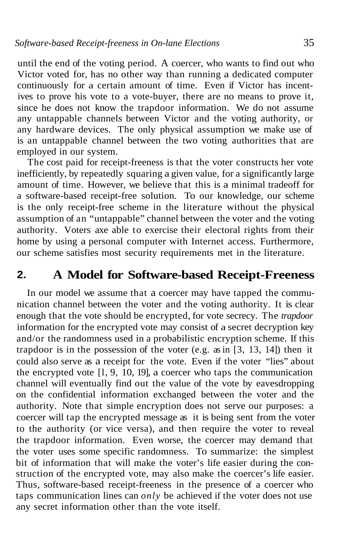until the end of the voting period. A coercer, who wants to find out who Victor voted for, has no other way than running a dedicated computer continuously for a certain amount of time. Even if Victor has incentives to prove his vote to a vote-buyer, there are no means to prove it, since he does not know the trapdoor information. We do not assume any untappable channels between Victor and the voting authority, or any hardware devices. The only physical assumption we make use of is an untappable channel between the two voting authorities that are employed in our system.

The cost paid for receipt-freeness is that the voter constructs her vote inefficiently, by repeatedly squaring a given value, for a significantly large amount of time. However, we believe that this is a minimal tradeoff for a software-based receipt-free solution. To our knowledge, our scheme is the only receipt-free scheme in the literature without the physical assumption of an "untappable" channel between the voter and the voting authority. Voters axe able to exercise their electoral rights from their home by using a personal computer with Internet access. Furthermore, our scheme satisfies most security requirements met in the literature.

### **2. A Model for Software-based Receipt-Freeness**

In our model we assume that a coercer may have tapped the communication channel between the voter and the voting authority. It is clear enough that the vote should be encrypted, for vote secrecy. The *trapdoor* information for the encrypted vote may consist of a secret decryption key and/or the randomness used in a probabilistic encryption scheme. If this trapdoor is in the possession of the voter (e.g. as in [3, 13, 14]) then it could also serve as a receipt for the vote. Even if the voter "lies" about the encrypted vote  $[1, 9, 10, 19]$ , a coercer who taps the communication channel will eventually find out the value of the vote by eavesdropping on the confidential information exchanged between the voter and the authority. Note that simple encryption does not serve our purposes: a coercer will tap the encrypted message as it is being sent from the voter to the authority (or vice versa), and then require the voter to reveal the trapdoor information. Even worse, the coercer may demand that the voter uses some specific randomness. To summarize: the simplest bit of information that will make the voter's life easier during the construction of the encrypted vote, may also make the coercer's life easier. Thus, software-based receipt-freeness in the presence of a coercer who taps communication lines can *only* be achieved if the voter does not use any secret information other than the vote itself.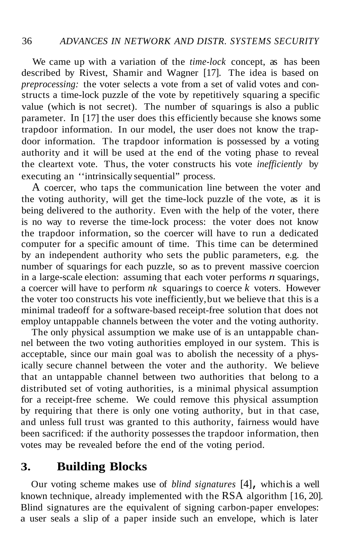We came up with a variation of the *time-lock* concept, as has been described by Rivest, Shamir and Wagner [17]. The idea is based on *preprocessing:* the voter selects a vote from a set of valid votes and constructs a time-lock puzzle of the vote by repetitively squaring a specific value (which is not secret). The number of squarings is also a public parameter. In [17] the user does this efficiently because she knows some trapdoor information. In our model, the user does not know the trapdoor information. The trapdoor information is possessed by a voting authority and it will be used at the end of the voting phase to reveal the cleartext vote. Thus, the voter constructs his vote *inefficiently* by executing an ''intrinsically sequential" process.

A coercer, who taps the communication line between the voter and the voting authority, will get the time-lock puzzle of the vote, as it is being delivered to the authority. Even with the help of the voter, there is no way to reverse the time-lock process: the voter does not know the trapdoor information, so the coercer will have to run a dedicated computer for a specific amount of time. This time can be determined by an independent authority who sets the public parameters, e.g. the number of squarings for each puzzle, so as to prevent massive coercion in a large-scale election: assuming that each voter performs *n* squarings, a coercer will have to perform *nk* squarings to coerce *k* voters. However the voter too constructs his vote inefficiently, but we believe that this is a minimal tradeoff for a software-based receipt-free solution that does not employ untappable channels between the voter and the voting authority.

The only physical assumption we make use of is an untappable channel between the two voting authorities employed in our system. This is acceptable, since our main goal was to abolish the necessity of a physically secure channel between the voter and the authority. We believe that an untappable channel between two authorities that belong to a distributed set of voting authorities, is a minimal physical assumption for a receipt-free scheme. We could remove this physical assumption by requiring that there is only one voting authority, but in that case, and unless full trust was granted to this authority, fairness would have been sacrificed: if the authority possesses the trapdoor information, then votes may be revealed before the end of the voting period.

### **3. Building Blocks**

Our voting scheme makes use of *blind signatures* [4]**,** whichis a well known technique, already implemented with the RSA algorithm [16, 20]. Blind signatures are the equivalent of signing carbon-paper envelopes: a user seals a slip of a paper inside such an envelope, which is later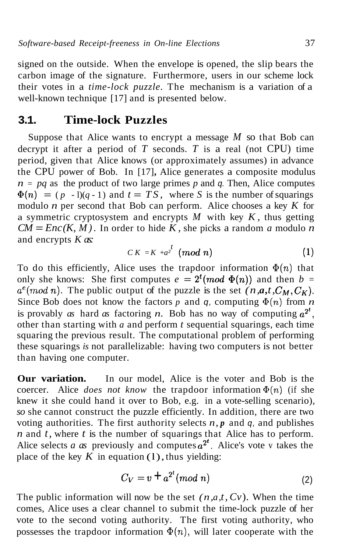signed on the outside. When the envelope is opened, the slip bears the carbon image of the signature. Furthermore, users in our scheme lock their votes in a *time-lock puzzle.* The mechanism is a variation of a well-known technique [17] and is presented below.

#### **3.1. Time-lock Puzzles**

Suppose that Alice wants to encrypt a message *M* so that Bob can decrypt it after a period of  $T$  seconds.  $T$  is a real (not CPU) time period, given that Alice knows (or approximately assumes) in advance the CPU power of Bob. In [17]**,** Alice generates a composite modulus  $n = pq$  as the product of two large primes *p* and *q*. Then, Alice computes  $\Phi(n) = (p \cdot 1)(q \cdot 1)$  and  $t = TS$ , where *S* is the number of squarings modulo *n* per second that Bob can perform. Alice chooses a key *K* for a symmetric cryptosystem and encrypts *M* with key *K,* thus getting  $CM = Enc(K, M)$ . In order to hide K, she picks a random *a* modulo *n* and encrypts *K as:*

$$
C K = K + a^2 \pmod{n} \tag{1}
$$

To do this efficiently, Alice uses the trapdoor information  $\Phi(n)$  that only she knows: She first computes  $e = 2^t (mod \Phi(n))$  and then  $b =$  $a^e \pmod{n}$ . The public output of the puzzle is the set  $(n, a, t, C_M, C_K)$ . Since Bob does not know the factors  $p$  and  $q$ , computing  $\Phi(n)$  from *n* is provably *as* hard *as* factoring *n*. Bob has no way of computing  $a^{2^t}$ , other than starting with *a* and perform *t* sequential squarings, each time squaring the previous result. The computational problem of performing these squarings *is* not parallelizable: having two computers is not better than having one computer.

**Our variation.** In our model, Alice is the voter and Bob is the coercer. Alice *does not know* the trapdoor information  $\Phi(n)$  (if she knew it she could hand it over to Bob, e.g. in a vote-selling scenario), *so* she cannot construct the puzzle efficiently. In addition, there are two voting authorities. The first authority selects  $n$ ,  $p$  and  $q$ , and publishes *n* and *t,* where *t* is the number of squarings that Alice has to perform. Alice selects *a as* previously and computes  $a^{2^t}$ . Alice's vote v takes the place of the key  $\overline{K}$  in equation (1), thus yielding:

$$
C_V = v + a^{2^t} (mod\ n) \tag{2}
$$

The public information will now be the set  $(n, a, t, Cv)$ . When the time comes, Alice uses a clear channel to submit the time-lock puzzle of her vote to the second voting authority. The first voting authority, who possesses the trapdoor information  $\Phi(n)$ , will later cooperate with the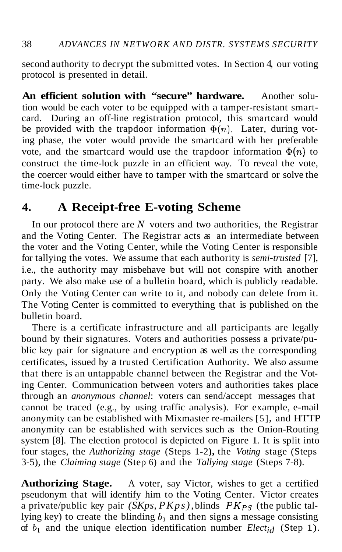second authority to decrypt the submitted votes. In Section 4, our voting protocol is presented in detail.

**An efficient solution with "secure" hardware.** Another solution would be each voter to be equipped with a tamper-resistant smartcard. During an off-line registration protocol, this smartcard would be provided with the trapdoor information  $\Phi(n)$ . Later, during voting phase, the voter would provide the smartcard with her preferable vote, and the smartcard would use the trapdoor information  $\Phi(n)$  to construct the time-lock puzzle in an efficient way. To reveal the vote, the coercer would either have to tamper with the smartcard or solve the time-lock puzzle.

## **4. A Receipt-free E-voting Scheme**

In our protocol there are *N* voters and two authorities, the Registrar and the Voting Center. The Registrar acts as an intermediate between the voter and the Voting Center, while the Voting Center is responsible for tallying the votes. We assume that each authority is *semi-trusted* [7], i.e., the authority may misbehave but will not conspire with another party. We also make use of a bulletin board, which is publicly readable. Only the Voting Center can write to it, and nobody can delete from it. The Voting Center is committed to everything that is published on the bulletin board.

There is a certificate infrastructure and all participants are legally bound by their signatures. Voters and authorities possess a private/public key pair for signature and encryption as well as the corresponding certificates, issued by a trusted Certification Authority. We also assume that there is an untappable channel between the Registrar and the Voting Center. Communication between voters and authorities takes place through an *anonymous channel*: voters can send/accept messages that cannot be traced (e.g., by using traffic analysis). For example, e-mail anonymity can be established with Mixmaster re-mailers [5]*,* and HTTP anonymity can be established with services such as the Onion-Routing system [8]. The election protocol is depicted on Figure 1. It is split into four stages, the *Authorizing stage* (Steps 1-2**),** the *Voting* stage (Steps 3-5), the *Claiming stage* (Step 6) and the *Tallying stage* (Steps 7-8).

**Authorizing Stage.** A voter, say Victor, wishes to get a certified pseudonym that will identify him to the Voting Center. Victor creates a private/public key pair *(SKps, PKps),* blinds *PKps* (the public tallying key) to create the blinding  $b_1$  and then signs a message consisting of  $b_1$  and the unique election identification number *Elect<sub>id</sub>* (Step 1).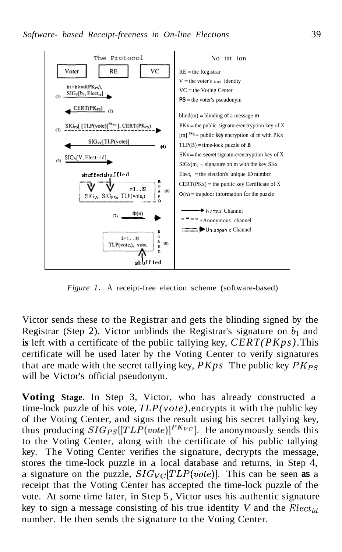

*Figure 1.* A receipt-free election scheme (software-based)

Victor sends these to the Registrar and gets the blinding signed by the Registrar (Step 2). Victor unblinds the Registrar's signature on  $b_1$  and **is** left with a certificate of the public tallying key, *CERT(PKps).* This certificate will be used later by the Voting Center to verify signatures that are made with the secret tallying key,  $PKps$  The public key  $PKp<sub>S</sub>$ will be Victor's official pseudonym.

**Voting Stage.** In Step 3, Victor, who has already constructed a time-lock puzzle of his vote, *TLP(vote),* encrypts it with the public key of the Voting Center, and signs the result using his secret tallying key, thus producing  $SIG_{PS}[[TLP(vote)]^{PKVC}]$ . He anonymously sends this to the Voting Center, along with the certificate of his public tallying key. The Voting Center verifies the signature, decrypts the message, stores the time-lock puzzle in a local database and returns, in Step 4, a signature on the puzzle, *SIGvc[TLP(vote)].* This can be seen **as** a receipt that the Voting Center has accepted the time-lock puzzle of the vote. At some time later, in Step 5 , Victor uses his authentic signature key to sign a message consisting of his true identity *V* and the *Electid*  number. He then sends the signature to the Voting Center.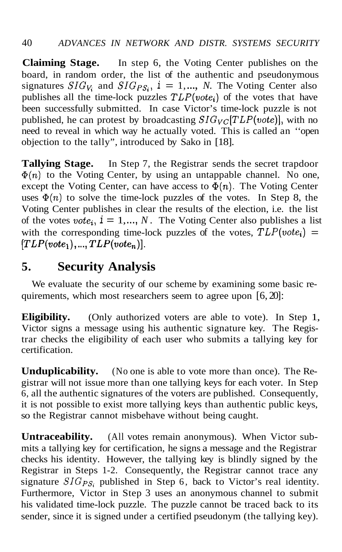**Claiming Stage.** In step 6, the Voting Center publishes on the board, in random order, the list of the authentic and pseudonymous signatures  $SIG_{V_i}$  and  $SIG_{PS_i}$ ,  $i = 1,..., N$ . The Voting Center also publishes all the time-lock puzzles  $TLP(vote_i)$  of the votes that have been successfully submitted. In case Victor's time-lock puzzle is not published, he can protest by broadcasting  $SIG_{VC}[TLP(vote)]$ , with no need to reveal in which way he actually voted. This is called an ''open objection to the tally", introduced by Sako in [18].

**Tallying Stage.** In Step 7, the Registrar sends the secret trapdoor  $\Phi(n)$  to the Voting Center, by using an untappable channel. No one, except the Voting Center, can have access to  $\Phi(n)$ . The Voting Center uses  $\Phi(n)$  to solve the time-lock puzzles of the votes. In Step 8, the Voting Center publishes in clear the results of the election, i.e. the list of the votes *vote<sub>i</sub>*,  $i = 1, ..., N$ . The Voting Center also publishes a list with the corresponding time-lock puzzles of the votes,  $TLP(vote_i)$  =  $[TLP(vote<sub>1</sub>)$ , ...,  $TLP(vote<sub>n</sub>)]$ .

# **5. Security Analysis**

We evaluate the security of our scheme by examining some basic requirements, which most researchers seem to agree upon [6, 20]:

**Eligibility.** (Only authorized voters are able to vote). In Step 1, Victor signs a message using his authentic signature key. The Registrar checks the eligibility of each user who submits a tallying key for certification.

**Unduplicability.** (No one is able to vote more than once). The Registrar will not issue more than one tallying keys for each voter. In Step 6, all the authentic signatures of the voters are published. Consequently, it is not possible to exist more tallying keys than authentic public keys, so the Registrar cannot misbehave without being caught.

**Untraceability.** (All votes remain anonymous). When Victor submits a tallying key for certification, he signs a message and the Registrar checks his identity. However, the tallying key is blindly signed by the Registrar in Steps 1-2. Consequently, the Registrar cannot trace any signature *SIG<sub>PS;</sub>* published in Step 6, back to Victor's real identity. Furthermore, Victor in Step 3 uses an anonymous channel to submit his validated time-lock puzzle. The puzzle cannot be traced back to its sender, since it is signed under a certified pseudonym (the tallying key).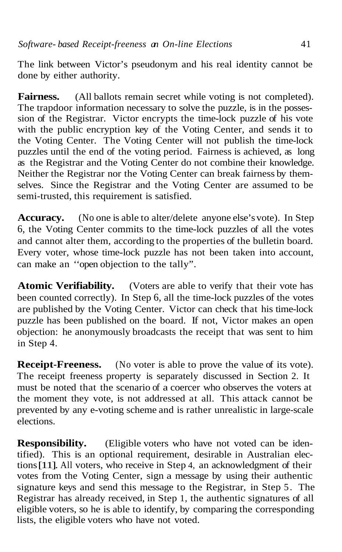The link between Victor's pseudonym and his real identity cannot be done by either authority.

Fairness. (All ballots remain secret while voting is not completed). The trapdoor information necessary to solve the puzzle, is in the possession of the Registrar. Victor encrypts the time-lock puzzle of his vote with the public encryption key of the Voting Center, and sends it to the Voting Center. The Voting Center will not publish the time-lock puzzles until the end of the voting period. Fairness is achieved, as long as the Registrar and the Voting Center do not combine their knowledge. Neither the Registrar nor the Voting Center can break fairness by themselves. Since the Registrar and the Voting Center are assumed to be semi-trusted, this requirement is satisfied.

**Accuracy.** (No one is able to alter/delete anyone else's vote). In Step 6, the Voting Center commits to the time-lock puzzles of all the votes and cannot alter them, according to the properties of the bulletin board. Every voter, whose time-lock puzzle has not been taken into account, can make an ''open objection to the tally".

**Atomic Verifiability.** (Voters are able to verify that their vote has been counted correctly). In Step 6, all the time-lock puzzles of the votes are published by the Voting Center. Victor can check that his time-lock puzzle has been published on the board. If not, Victor makes an open objection: he anonymously broadcasts the receipt that was sent to him in Step 4.

**Receipt-Freeness.** (No voter is able to prove the value of its vote). The receipt freeness property is separately discussed in Section 2. It must be noted that the scenario of a coercer who observes the voters at the moment they vote, is not addressed at all. This attack cannot be prevented by any e-voting scheme and is rather unrealistic in large-scale elections.

**Responsibility.** (Eligible voters who have not voted can be identified). This is an optional requirement, desirable in Australian elections [11]. All voters, who receive in Step 4, an acknowledgment of their votes from the Voting Center, sign a message by using their authentic signature keys and send this message to the Registrar, in Step 5. The Registrar has already received, in Step 1, the authentic signatures of all eligible voters, so he is able to identify, by comparing the corresponding lists, the eligible voters who have not voted.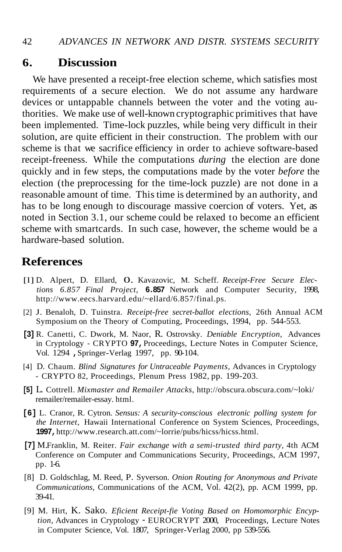42*ADVANCES IN NETWORK AND DISTR. SYSTEMS SECURITY*

#### **6. Discussion**

We have presented a receipt-free election scheme, which satisfies most requirements of a secure election. We do not assume any hardware devices or untappable channels between the voter and the voting authorities. We make use of well-known cryptographic primitives that have been implemented. Time-lock puzzles, while being very difficult in their solution, are quite efficient in their construction. The problem with our scheme is that we sacrifice efficiency in order to achieve software-based receipt-freeness. While the computations *during* the election are done quickly and in few steps, the computations made by the voter *before* the election (the preprocessing for the time-lock puzzle) are not done in a reasonable amount of time. This time is determined by an authority, and has to be long enough to discourage massive coercion of voters. Yet, as noted in Section 3.1, our scheme could be relaxed to become an efficient scheme with smartcards. In such case, however, the scheme would be a hardware-based solution.

### **References**

- [l] D. Alpert, D. Ellard, 0. Kavazovic, M. Scheff. *Receipt-Free Secure Elections 6.857 Final Project,* **6.857** Network and Computer Security, 1998, http://www.eecs.harvard.edu/~ellard/6.857/final.ps.
- [2] J. Benaloh, D. Tuinstra. *Receipt-free secret-ballot elections,* 26th Annual ACM Symposium on the Theory of Computing, Proceedings, 1994, pp. 544-553.
- **[3]** R. Canetti, C. Dwork, M. Naor, R. Ostrovsky. *Deniable Encryption,* Advances in Cryptology - CRYPTO **97,** Proceedings, Lecture Notes in Computer Science, Vol. 1294 **,** Springer-Verlag 1997, pp. 90-104.
- [4] D. Chaum. *Blind Signatures for Untraceable Payments,* Advances in Cryptology - CRYPTO 82, Proceedings, Plenum Press 1982, pp. 199-203.
- **[5]** L. Cottrell. *Mixmaster and Remailer Attacks,* http://obscura.obscura.com/~loki/ remailer/remailer-essay. html.
- **[6]** L. Cranor, R. Cytron. *Sensus: A security-conscious electronic polling system for the Internet,* Hawaii International Conference on System Sciences, Proceedings, **1997,** http://www.research.att.com/~lorrie/pubs/hicss/hicss.html.
- **[7]** M.Franklin, M. Reiter. *Fair exchange with a semi-trusted third party,* 4th ACM Conference on Computer and Communications Security, Proceedings, ACM 1997, pp. 1-6.
- [8] D. Goldschlag, M. Reed, P. Syverson. *Onion Routing for Anonymous and Private Communications,* Communications of the ACM, Vol. 42(2), pp. ACM 1999, pp. 39-41.
- [9] M. Hirt, K. Sako. *Eficient Receipt-fie Voting Based on Homomorphic Encyption,* Advances in Cryptology - EUROCRYPT 2000, Proceedings, Lecture Notes in Computer Science, Vol. 1807, Springer-Verlag 2000, pp 539-556.